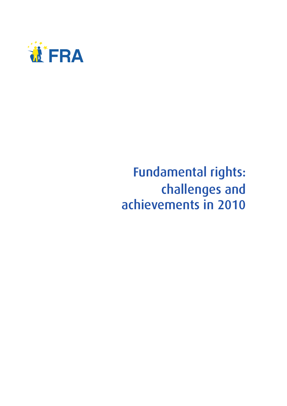

## Fundamental rights: challenges and achievements in 2010